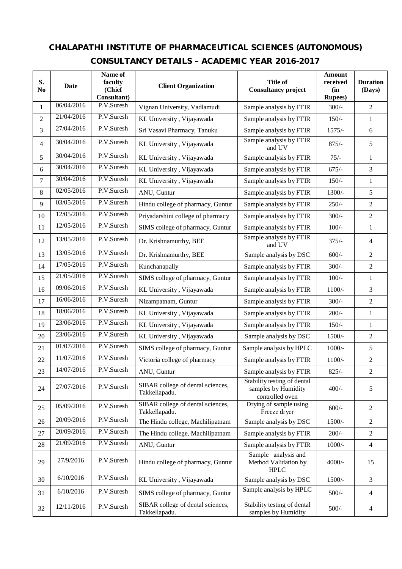## **CHALAPATHI INSTITUTE OF PHARMACEUTICAL SCIENCES (AUTONOMOUS) CONSULTANCY DETAILS – ACADEMIC YEAR 2016-2017**

| S.<br>N <sub>0</sub> | Date       | Name of<br>faculty<br>(Chief<br>Consultant) | <b>Client Organization</b>                         | <b>Title of</b><br><b>Consultancy project</b>                         | Amount<br>received<br>(in<br><b>Rupees</b> ) | <b>Duration</b><br>(Days) |
|----------------------|------------|---------------------------------------------|----------------------------------------------------|-----------------------------------------------------------------------|----------------------------------------------|---------------------------|
| 1                    | 06/04/2016 | P.V.Suresh                                  | Vignan University, Vadlamudi                       | Sample analysis by FTIR                                               | $300/-$                                      | $\overline{2}$            |
| $\overline{c}$       | 21/04/2016 | P.V.Suresh                                  | KL University, Vijayawada                          | Sample analysis by FTIR                                               | $150/-$                                      | $\mathbf{1}$              |
| 3                    | 27/04/2016 | P.V.Suresh                                  | Sri Vasavi Pharmacy, Tanuku                        | Sample analysis by FTIR                                               | $1575/-$                                     | 6                         |
| 4                    | 30/04/2016 | P.V.Suresh                                  | KL University, Vijayawada                          | Sample analysis by FTIR<br>and UV                                     | $875/-$                                      | 5                         |
| 5                    | 30/04/2016 | P.V.Suresh                                  | KL University, Vijayawada                          | Sample analysis by FTIR                                               | $75/-$                                       | $\mathbf{1}$              |
| 6                    | 30/04/2016 | P.V.Suresh                                  | KL University, Vijayawada                          | Sample analysis by FTIR                                               | $675/-$                                      | 3                         |
| 7                    | 30/04/2016 | P.V.Suresh                                  | KL University, Vijayawada                          | Sample analysis by FTIR                                               | $150/-$                                      | $\mathbf{1}$              |
| 8                    | 02/05/2016 | P.V.Suresh                                  | ANU, Guntur                                        | Sample analysis by FTIR                                               | 1300/-                                       | 5                         |
| 9                    | 03/05/2016 | P.V.Suresh                                  | Hindu college of pharmacy, Guntur                  | Sample analysis by FTIR                                               | $250/-$                                      | $\overline{2}$            |
| 10                   | 12/05/2016 | P.V.Suresh                                  | Priyadarshini college of pharmacy                  | Sample analysis by FTIR                                               | $300/-$                                      | $\overline{2}$            |
| 11                   | 12/05/2016 | P.V.Suresh                                  | SIMS college of pharmacy, Guntur                   | Sample analysis by FTIR                                               | $100/-$                                      | $\mathbf{1}$              |
| 12                   | 13/05/2016 | P.V.Suresh                                  | Dr. Krishnamurthy, BEE                             | Sample analysis by FTIR<br>and UV                                     | $375/-$                                      | $\overline{4}$            |
| 13                   | 13/05/2016 | P.V.Suresh                                  | Dr. Krishnamurthy, BEE                             | Sample analysis by DSC                                                | $600/-$                                      | $\overline{2}$            |
| 14                   | 17/05/2016 | P.V.Suresh                                  | Kunchanapally                                      | Sample analysis by FTIR                                               | $300/-$                                      | $\overline{2}$            |
| 15                   | 21/05/2016 | P.V.Suresh                                  | SIMS college of pharmacy, Guntur                   | Sample analysis by FTIR                                               | $100/-$                                      | $\mathbf{1}$              |
| 16                   | 09/06/2016 | P.V.Suresh                                  | KL University, Vijayawada                          | Sample analysis by FTIR                                               | $1100/-$                                     | 3                         |
| 17                   | 16/06/2016 | P.V.Suresh                                  | Nizampatnam, Guntur                                | Sample analysis by FTIR                                               | $300/-$                                      | $\overline{2}$            |
| 18                   | 18/06/2016 | P.V.Suresh                                  | KL University, Vijayawada                          | Sample analysis by FTIR                                               | $200/-$                                      | $\mathbf{1}$              |
| 19                   | 23/06/2016 | P.V.Suresh                                  | KL University, Vijayawada                          | Sample analysis by FTIR                                               | $150/-$                                      | $\mathbf{1}$              |
| 20                   | 23/06/2016 | P.V.Suresh                                  | KL University, Vijayawada                          | Sample analysis by DSC                                                | 1500/-                                       | $\overline{2}$            |
| 21                   | 01/07/2016 | P.V.Suresh                                  | SIMS college of pharmacy, Guntur                   | Sample analysis by HPLC                                               | $1000/-$                                     | 5                         |
| 22                   | 11/07/2016 | P.V.Suresh                                  | Victoria college of pharmacy                       | Sample analysis by FTIR                                               | $1100/-$                                     | $\overline{2}$            |
| 23                   | 14/07/2016 | P.V.Suresh                                  | ANU, Guntur                                        | Sample analysis by FTIR                                               | $825/-$                                      | $\sqrt{2}$                |
| 24                   | 27/07/2016 | P.V.Suresh                                  | SIBAR college of dental sciences,<br>Takkellapadu. | Stability testing of dental<br>samples by Humidity<br>controlled oven | $400/-$                                      | 5                         |
| 25                   | 05/09/2016 | P.V.Suresh                                  | SIBAR college of dental sciences,<br>Takkellapadu. | Drying of sample using<br>Freeze dryer                                | $600/-$                                      | $\sqrt{2}$                |
| 26                   | 20/09/2016 | P.V.Suresh                                  | The Hindu college, Machilipatnam                   | Sample analysis by DSC                                                | 1500/-                                       | $\overline{2}$            |
| 27                   | 20/09/2016 | P.V.Suresh                                  | The Hindu college, Machilipatnam                   | Sample analysis by FTIR                                               | $200/-$                                      | $\overline{2}$            |
| 28                   | 21/09/2016 | P.V.Suresh                                  | ANU, Guntur                                        | Sample analysis by FTIR                                               | $1000/-$                                     | $\overline{4}$            |
| 29                   | 27/9/2016  | P.V.Suresh                                  | Hindu college of pharmacy, Guntur                  | Sample analysis and<br>Method Validation by<br><b>HPLC</b>            | 4000/-                                       | 15                        |
| 30                   | 6/10/2016  | P.V.Suresh                                  | KL University, Vijayawada                          | Sample analysis by DSC                                                | 1500/-                                       | 3                         |
| 31                   | 6/10/2016  | P.V.Suresh                                  | SIMS college of pharmacy, Guntur                   | Sample analysis by HPLC                                               | $500/-$                                      | $\overline{4}$            |
| 32                   | 12/11/2016 | P.V.Suresh                                  | SIBAR college of dental sciences,<br>Takkellapadu. | Stability testing of dental<br>samples by Humidity                    | $500/-$                                      | $\overline{4}$            |